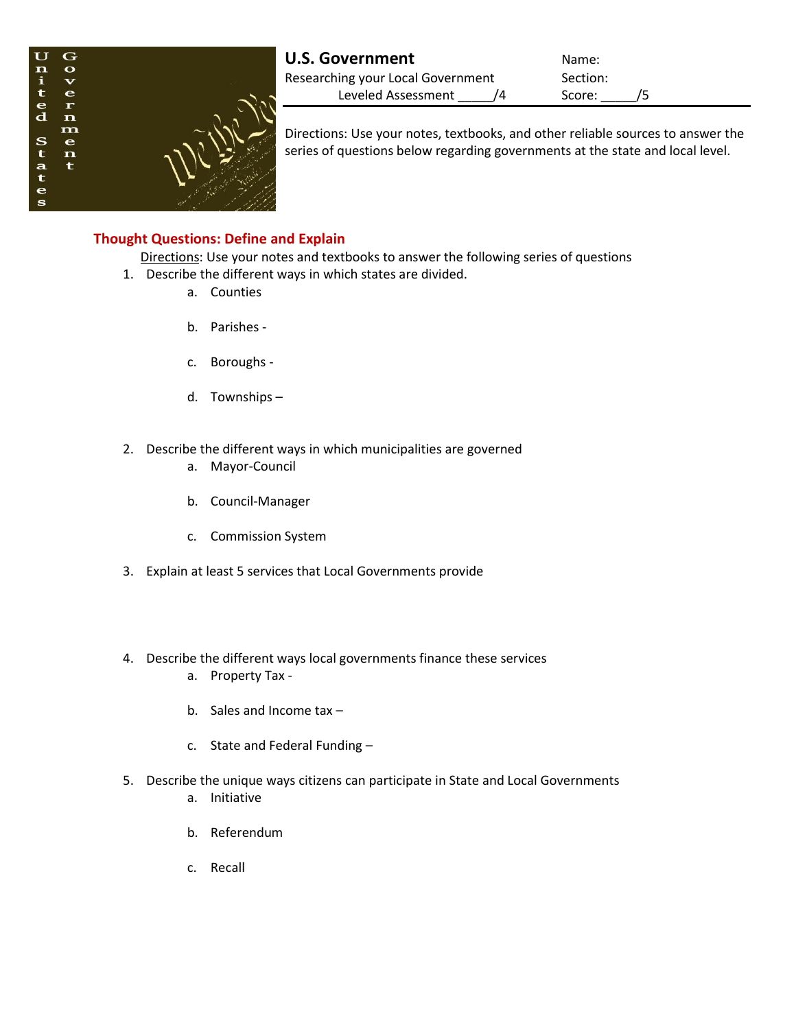

| <b>U.S. Government</b>            |  | Name:    |  |
|-----------------------------------|--|----------|--|
| Researching your Local Government |  | Section: |  |
| Leveled Assessment                |  | Score:   |  |

Directions: Use your notes, textbooks, and other reliable sources to answer the series of questions below regarding governments at the state and local level.

## **Thought Questions: Define and Explain**

Directions: Use your notes and textbooks to answer the following series of questions

- 1. Describe the different ways in which states are divided.
	- a. Counties
	- b. Parishes -
	- c. Boroughs -
	- d. Townships –
- 2. Describe the different ways in which municipalities are governed
	- a. Mayor-Council
	- b. Council-Manager
	- c. Commission System
- 3. Explain at least 5 services that Local Governments provide
- 4. Describe the different ways local governments finance these services
	- a. Property Tax -
	- b. Sales and Income tax –
	- c. State and Federal Funding –
- 5. Describe the unique ways citizens can participate in State and Local Governments
	- a. Initiative
	- b. Referendum
	- c. Recall